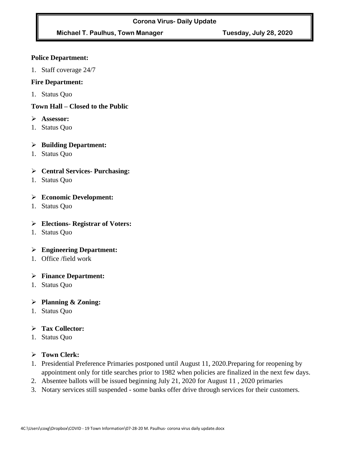# **Michael T. Paulhus, Town Manager Tuesday, July 28, 2020**

#### **Police Department:**

1. Staff coverage 24/7

#### **Fire Department:**

1. Status Quo

# **Town Hall – Closed to the Public**

- ➢ **Assessor:**
- 1. Status Quo

#### ➢ **Building Department:**

1. Status Quo

# ➢ **Central Services- Purchasing:**

1. Status Quo

# ➢ **Economic Development:**

1. Status Quo

#### ➢ **Elections- Registrar of Voters:**

1. Status Quo

# ➢ **Engineering Department:**

1. Office /field work

# ➢ **Finance Department:**

1. Status Quo

# ➢ **Planning & Zoning:**

1. Status Quo

# ➢ **Tax Collector:**

1. Status Quo

# ➢ **Town Clerk:**

- 1. Presidential Preference Primaries postponed until August 11, 2020.Preparing for reopening by appointment only for title searches prior to 1982 when policies are finalized in the next few days.
- 2. Absentee ballots will be issued beginning July 21, 2020 for August 11 , 2020 primaries
- 3. Notary services still suspended some banks offer drive through services for their customers.